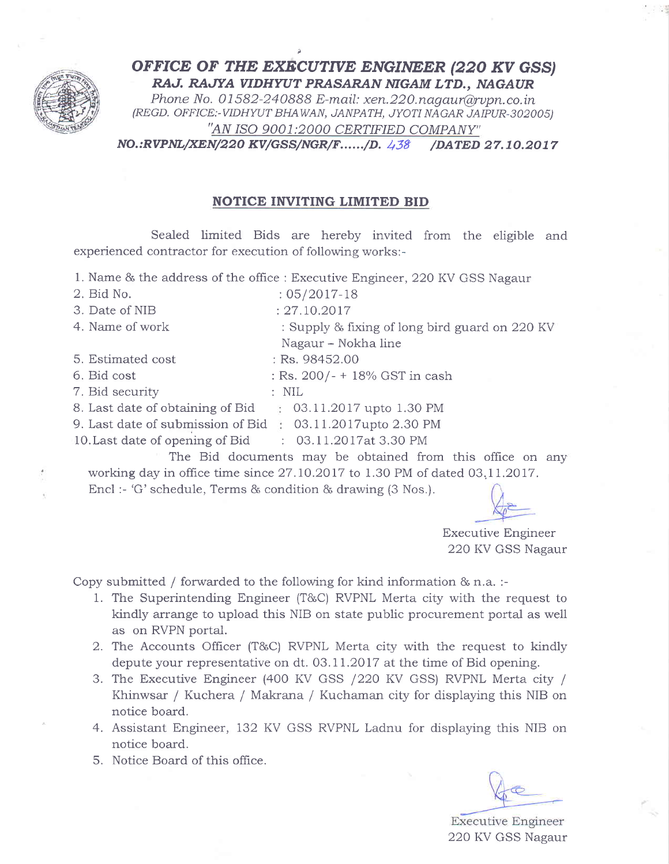

OFFICE OF THE EXECUTIVE ENGINEER (220 KV GSS) RAJ. RAJYA VIDHYUT PRASARAN NIGAM LTD., NAGAUR

Phone No. 01582-240888 E-mail: xen.  $220$ . nagaur@rvpn.co. in (REGD. OFFICE:-VIDHWT BHAWAN, JANPATH, JYOTI NAGAR JAIPUR-302005) "AN ISO 9O01:2000 CERTIFIED COMPANY"

NO.:RVPNL/XEN/220 KV/GSS/NGR/F....../D. 438 /DATED 27.10.2017

## NOTICE INVITING LIMITED BID

Sealed limited Bids are hereby invited from the eligible and experienced contractor for execution of following works:-

1. Name & the address of the office : Executive Engineer, 22O KV GSS Nagaur

- 2. Bid No. : 05/2017-18 3. Date of NIB : 27.10.2017 4. Name of work : Supply & fixing of long bird guard on 220 KV 5. Estimated cost 6. Bid cost : 7. Bid security B. Last date of obtaining of Bid 9. Last date of submission of Bid 03.11 .2Ol7upto 2.30 PM Nagaur - Nokha line Rs. 98452.00  $:$  Rs. 200/- + 18% GST in cash lO.Last date of opening of Bid The Bid documents mav be obtained from this office on anv NiL  $03.11.2017$  upto 1.30 PM : 03.lI.2O 17at 3.30 PM
	- working day in office time since  $27.10.2017$  to  $1.30$  PM of dated  $03.11.2017$ . Encl :- 'G'schedule, Terms & condition & drawing (3 Nos.).

Executive Engineer 22O KV GSS Nagaur

Copy submitted / forwarded to the following for kind information  $\&$  n.a. :-

- 1. The Superintending Engineer (T&C) RVPNL Merta city with the request to kindly arrange to upload this NIB on state public procurement portal as well as on RVPN portal.
- 2. The Accounts Officer (T&C) RVPNL Merta city with the request to kindly depute your representative on dt. 03.11 .2OI7 at the time of Bid opening.
- 3. The Executive Engineer (400 KV GSS / 220 KV GSS) RVPNL Merta city / Khinwsar / Kuchera / Makrana / Kuchaman city for displaying this NIB on notice board.
- 4. Assistant Engineer, 132 KV GSS RVPNL Ladnu for displaying this NIB on notice board.
- 5. Notice Board of this office.

Executive Engineer 22O KV GSS Nagaur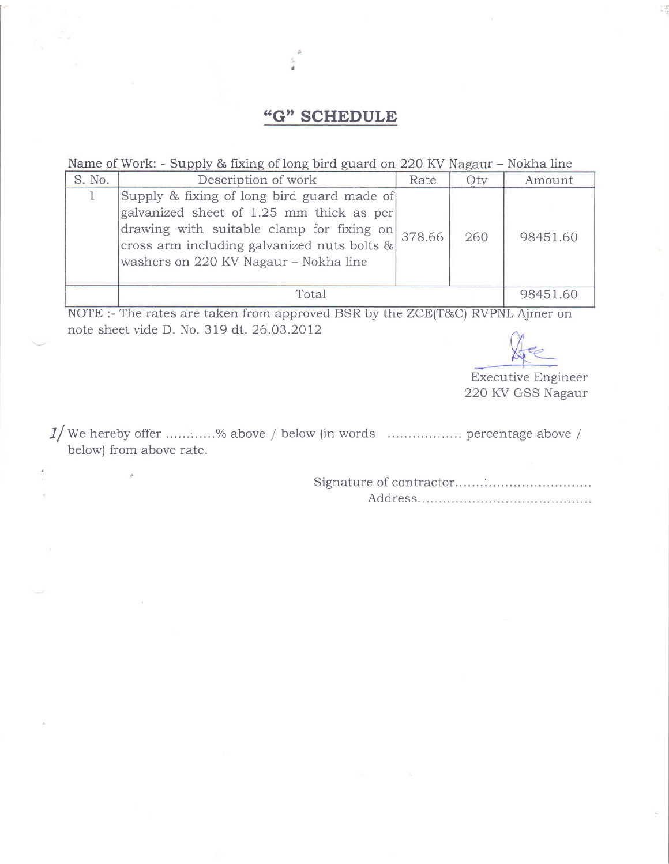## "G" SCHEDULE

Name of Work: - Supply & fixing of long bird guard on 220 KV Nagaur - Nokha line

| S. No. | Description of work                                                                                                                                                                                                                | Rate   | Vty | Amount   |
|--------|------------------------------------------------------------------------------------------------------------------------------------------------------------------------------------------------------------------------------------|--------|-----|----------|
|        | Supply & fixing of long bird guard made of<br>galvanized sheet of 1.25 mm thick as per<br>drawing with suitable clamp for fixing on<br>$ cross arm$ including galvanized nuts bolts $\& $<br>washers on 220 KV Nagaur - Nokha line | 378.66 | 260 | 98451.60 |
|        | Total                                                                                                                                                                                                                              |        |     | 98451.60 |

NOTE :- The rates are taken from approved BSR by the ZCE(T&C) RVPNL Aimer on note sheet vide D. No. 319 dt. 26.03.2012

Executive Engineer 220 KV GSS Nagaur

J f We hereby offer ......:.. ...o/o above below (in words .. percentage above / below) from above rate.

> Signature of contractor....... :... Address.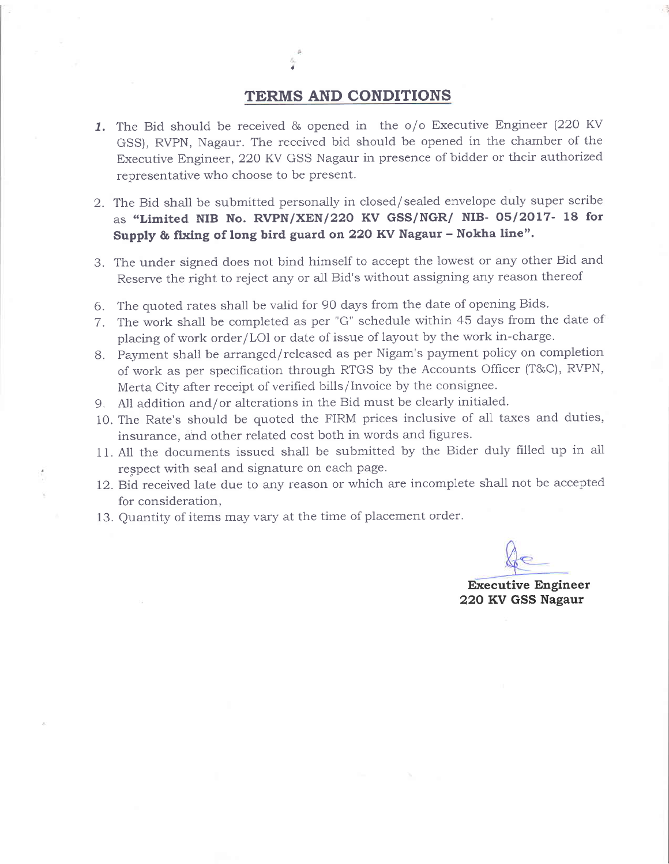## TERMS AND CONDITIONS

- 1. The Bid should be received & opened in the o/o Executive Engineer (220 KV GSS), RVPN, Nagaur. The received bid should be opened in the chamber of the Executive Engineer, 22O KV GSS Nagaur in presence of bidder or their authorized representative who choose to be present.
- 2 . The Bid shall be submitted personally in closed/sealed envelope duly super scribe as "Limited NIB No. RVPN/XEN/220 KV GSS/NGR/ NIB- 05/2017- 18 for Supply & fixing of long bird guard on 220 KV Nagaur - Nokha line".
- 3. The under signed does not bind himself to accept the lowest or any other Bid and Reserve the right to reject any or al1 Bid's without assigning any reason thereof
- 6. The quoted rates shall be valid for 90 days from the date of opening Bids.
- 7. The work shall be completed as per "G" schedule within 45 days from the date of placing of work order/LOI or date of issue of layout by the work in-charge.
- 8. Payment shall be arranged/released as per Nigam's payment policy on completion of work as per specification through RTGS by the Accounts Officer (T&C), RVPN, Merta City after receipt of verified bills/Invoice by the consignee.
- 9. All addition and/or alterations in the Bid must be clearly initialed.
- lO. The Rate's should be quoted the FIRM prices inclusive of all taxes and duties, insurance, ahd other related cost both in words and figures.
- 11. All the documents issued sha1l be submitted by the Bider duly filled up in all respect with seal and signature on each page.
- 12. Bid received late due to any reason or which are incomplete shall not be accepted for consideration,
- 13. Quantity of items may vary at the time of placement order.

Executive Engineer 22O KV GSS Nagaur